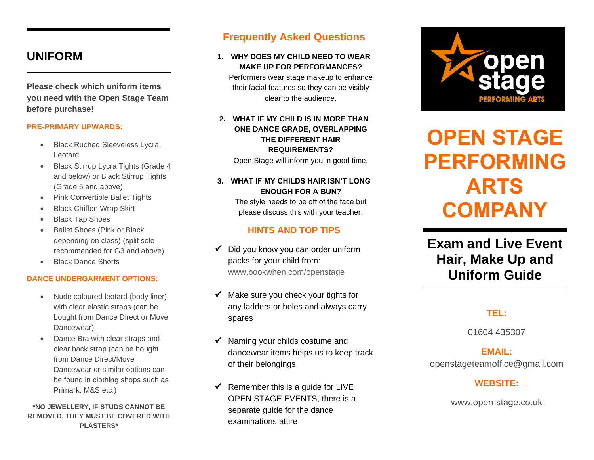# **UNIFORM**

**Please check which uniform items you need with the Open Stage Team before purchase!** 

### **PRE-PRIMARY UPWARDS:**

- **Black Ruched Sleeveless Lycra** Leotard
- Black Stirrup Lycra Tights (Grade 4 and below) or Black Stirrup Tights (Grade 5 and above)
- Pink Convertible Ballet Tights
- **Black Chiffon Wrap Skirt**
- **Black Tap Shoes**
- Ballet Shoes (Pink or Black depending on class) (split sole recommended for G3 and above)
- Black Dance Shorts

### **DANCE UNDERGARMENT OPTIONS:**

- Nude coloured leotard (body liner) with clear elastic straps (can be bought from Dance Direct or Move Dancewear)
- Dance Bra with clear straps and clear back strap (can be bought from Dance Direct/Move Dancewear or similar options can be found in clothing shops such as Primark, M&S etc.)

### **\*NO JEWELLERY, IF STUDS CANNOT BE REMOVED, THEY MUST BE COVERED WITH PLASTERS\***

## **Frequently Asked Questions**

### **1. WHY DOES MY CHILD NEED TO WEAR MAKE UP FOR PERFORMANCES?**

Performers wear stage makeup to enhance their facial features so they can be visibly clear to the audience.

### **2. WHAT IF MY CHILD IS IN MORE THAN ONE DANCE GRADE, OVERLAPPING THE DIFFERENT HAIR REQUIREMENTS?**

Open Stage will inform you in good time.

**3. WHAT IF MY CHILDS HAIR ISN'T LONG ENOUGH FOR A BUN?**

> The style needs to be off of the face but please discuss this with your teacher.

### **HINTS AND TOP TIPS**

- $\checkmark$  Did you know you can order uniform packs for your child from: [www.bookwhen.com/openstage](http://www.bookwhen.com/openstage)
- ✓ Make sure you check your tights for any ladders or holes and always carry spares
- Naming your childs costume and dancewear items helps us to keep track of their belongings
- $\checkmark$  Remember this is a quide for LIVE OPEN STAGE EVENTS, there is a separate guide for the dance examinations attire



# **OPEN STAGE PERFORMING ARTS COMPANY**

# **Exam and Live Event Hair, Make Up and Uniform Guide**

### **TEL:**

01604 435307

### **EMAIL:**

openstageteamoffice@gmail.com

### **WEBSITE:**

www.open-stage.co.uk